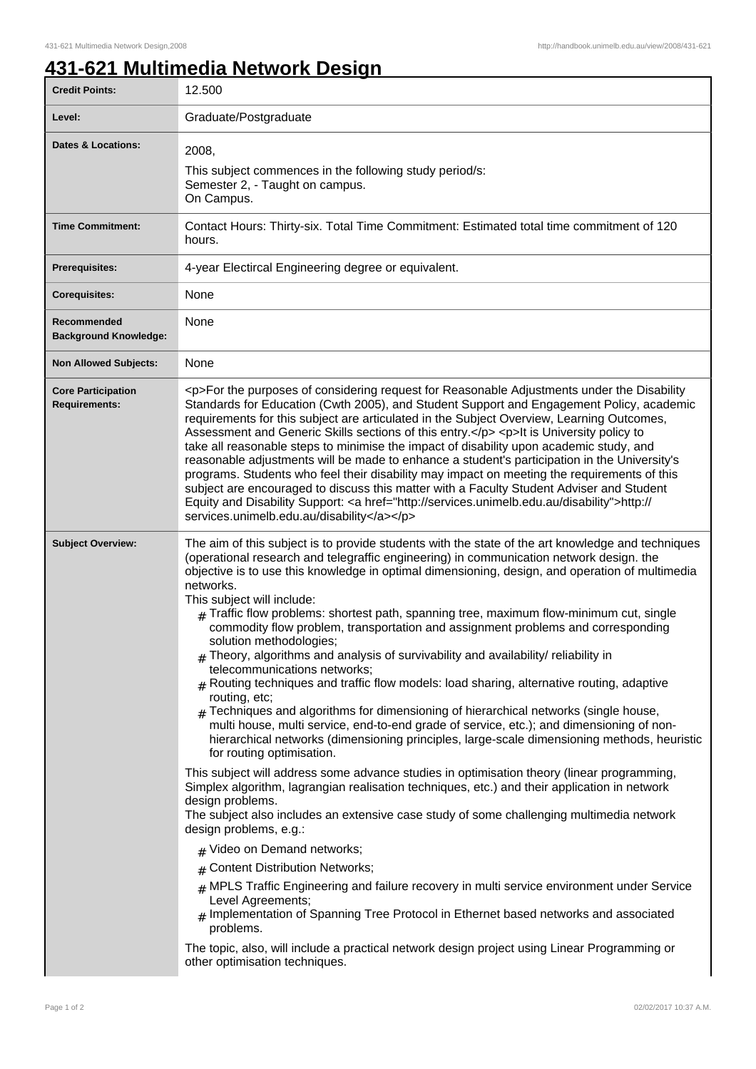## **431-621 Multimedia Network Design**

| <b>Credit Points:</b>                             | 12.500                                                                                                                                                                                                                                                                                                                                                                                                                                                                                                                                                                                                                                                                                                                                                                                                                                                                                                                                                                                                                                                                                                                                                                                                                                                                                                                                                                                                                                                                                                                                                                                                                                                                                                                                                                                                                                                                                            |
|---------------------------------------------------|---------------------------------------------------------------------------------------------------------------------------------------------------------------------------------------------------------------------------------------------------------------------------------------------------------------------------------------------------------------------------------------------------------------------------------------------------------------------------------------------------------------------------------------------------------------------------------------------------------------------------------------------------------------------------------------------------------------------------------------------------------------------------------------------------------------------------------------------------------------------------------------------------------------------------------------------------------------------------------------------------------------------------------------------------------------------------------------------------------------------------------------------------------------------------------------------------------------------------------------------------------------------------------------------------------------------------------------------------------------------------------------------------------------------------------------------------------------------------------------------------------------------------------------------------------------------------------------------------------------------------------------------------------------------------------------------------------------------------------------------------------------------------------------------------------------------------------------------------------------------------------------------------|
| Level:                                            | Graduate/Postgraduate                                                                                                                                                                                                                                                                                                                                                                                                                                                                                                                                                                                                                                                                                                                                                                                                                                                                                                                                                                                                                                                                                                                                                                                                                                                                                                                                                                                                                                                                                                                                                                                                                                                                                                                                                                                                                                                                             |
| <b>Dates &amp; Locations:</b>                     | 2008.<br>This subject commences in the following study period/s:<br>Semester 2, - Taught on campus.<br>On Campus.                                                                                                                                                                                                                                                                                                                                                                                                                                                                                                                                                                                                                                                                                                                                                                                                                                                                                                                                                                                                                                                                                                                                                                                                                                                                                                                                                                                                                                                                                                                                                                                                                                                                                                                                                                                 |
| <b>Time Commitment:</b>                           | Contact Hours: Thirty-six. Total Time Commitment: Estimated total time commitment of 120<br>hours.                                                                                                                                                                                                                                                                                                                                                                                                                                                                                                                                                                                                                                                                                                                                                                                                                                                                                                                                                                                                                                                                                                                                                                                                                                                                                                                                                                                                                                                                                                                                                                                                                                                                                                                                                                                                |
| <b>Prerequisites:</b>                             | 4-year Electircal Engineering degree or equivalent.                                                                                                                                                                                                                                                                                                                                                                                                                                                                                                                                                                                                                                                                                                                                                                                                                                                                                                                                                                                                                                                                                                                                                                                                                                                                                                                                                                                                                                                                                                                                                                                                                                                                                                                                                                                                                                               |
| <b>Corequisites:</b>                              | None                                                                                                                                                                                                                                                                                                                                                                                                                                                                                                                                                                                                                                                                                                                                                                                                                                                                                                                                                                                                                                                                                                                                                                                                                                                                                                                                                                                                                                                                                                                                                                                                                                                                                                                                                                                                                                                                                              |
| Recommended<br><b>Background Knowledge:</b>       | None                                                                                                                                                                                                                                                                                                                                                                                                                                                                                                                                                                                                                                                                                                                                                                                                                                                                                                                                                                                                                                                                                                                                                                                                                                                                                                                                                                                                                                                                                                                                                                                                                                                                                                                                                                                                                                                                                              |
| <b>Non Allowed Subjects:</b>                      | None                                                                                                                                                                                                                                                                                                                                                                                                                                                                                                                                                                                                                                                                                                                                                                                                                                                                                                                                                                                                                                                                                                                                                                                                                                                                                                                                                                                                                                                                                                                                                                                                                                                                                                                                                                                                                                                                                              |
| <b>Core Participation</b><br><b>Requirements:</b> | <p>For the purposes of considering request for Reasonable Adjustments under the Disability<br/>Standards for Education (Cwth 2005), and Student Support and Engagement Policy, academic<br/>requirements for this subject are articulated in the Subject Overview, Learning Outcomes,<br/>Assessment and Generic Skills sections of this entry.</p> <p>lt is University policy to<br/>take all reasonable steps to minimise the impact of disability upon academic study, and<br/>reasonable adjustments will be made to enhance a student's participation in the University's<br/>programs. Students who feel their disability may impact on meeting the requirements of this<br/>subject are encouraged to discuss this matter with a Faculty Student Adviser and Student<br/>Equity and Disability Support: &lt; a href="http://services.unimelb.edu.au/disability"&gt;http://<br/>services.unimelb.edu.au/disability</p>                                                                                                                                                                                                                                                                                                                                                                                                                                                                                                                                                                                                                                                                                                                                                                                                                                                                                                                                                                      |
| <b>Subject Overview:</b>                          | The aim of this subject is to provide students with the state of the art knowledge and techniques<br>(operational research and telegraffic engineering) in communication network design. the<br>objective is to use this knowledge in optimal dimensioning, design, and operation of multimedia<br>networks.<br>This subject will include:<br>$#$ Traffic flow problems: shortest path, spanning tree, maximum flow-minimum cut, single<br>commodity flow problem, transportation and assignment problems and corresponding<br>solution methodologies;<br>$#$ Theory, algorithms and analysis of survivability and availability/ reliability in<br>telecommunications networks:<br>$#$ Routing techniques and traffic flow models: load sharing, alternative routing, adaptive<br>routing, etc;<br>$_{\rm H}$ Techniques and algorithms for dimensioning of hierarchical networks (single house,<br>multi house, multi service, end-to-end grade of service, etc.); and dimensioning of non-<br>hierarchical networks (dimensioning principles, large-scale dimensioning methods, heuristic<br>for routing optimisation.<br>This subject will address some advance studies in optimisation theory (linear programming,<br>Simplex algorithm, lagrangian realisation techniques, etc.) and their application in network<br>design problems.<br>The subject also includes an extensive case study of some challenging multimedia network<br>design problems, e.g.:<br># Video on Demand networks;<br># Content Distribution Networks;<br>$#$ MPLS Traffic Engineering and failure recovery in multi service environment under Service<br>Level Agreements;<br>$#$ Implementation of Spanning Tree Protocol in Ethernet based networks and associated<br>problems.<br>The topic, also, will include a practical network design project using Linear Programming or<br>other optimisation techniques. |